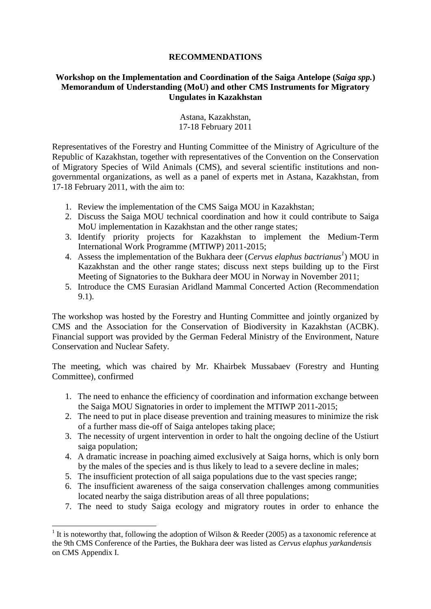## **RECOMMENDATIONS**

## **Workshop on the Implementation and Coordination of the Saiga Antelope (***Saiga spp.***) Memorandum of Understanding (MoU) and other CMS Instruments for Migratory Ungulates in Kazakhstan**

Astana, Kazakhstan, 17-18 February 2011

Representatives of the Forestry and Hunting Committee of the Ministry of Agriculture of the Republic of Kazakhstan, together with representatives of the Convention on the Conservation of Migratory Species of Wild Animals (CMS), and several scientific institutions and nongovernmental organizations, as well as a panel of experts met in Astana, Kazakhstan, from 17-18 February 2011, with the aim to:

- 1. Review the implementation of the CMS Saiga MOU in Kazakhstan;
- 2. Discuss the Saiga MOU technical coordination and how it could contribute to Saiga MoU implementation in Kazakhstan and the other range states;
- 3. Identify priority projects for Kazakhstan to implement the Medium-Term International Work Programme (MTIWP) 2011-2015;
- 4. Assess the implementation of the Bukhara deer (*Cervus elaphus bactrianus<sup>1</sup>* ) MOU in Kazakhstan and the other range states; discuss next steps building up to the First Meeting of Signatories to the Bukhara deer MOU in Norway in November 2011;
- 5. Introduce the CMS Eurasian Aridland Mammal Concerted Action (Recommendation 9.1).

The workshop was hosted by the Forestry and Hunting Committee and jointly organized by CMS and the Association for the Conservation of Biodiversity in Kazakhstan (ACBK). Financial support was provided by the German Federal Ministry of the Environment, Nature Conservation and Nuclear Safety.

The meeting, which was chaired by Mr. Khairbek Mussabaev (Forestry and Hunting Committee), confirmed

- 1. The need to enhance the efficiency of coordination and information exchange between the Saiga MOU Signatories in order to implement the MTIWP 2011-2015;
- 2. The need to put in place disease prevention and training measures to minimize the risk of a further mass die-off of Saiga antelopes taking place;
- 3. The necessity of urgent intervention in order to halt the ongoing decline of the Ustiurt saiga population;
- 4. A dramatic increase in poaching aimed exclusively at Saiga horns, which is only born by the males of the species and is thus likely to lead to a severe decline in males;
- 5. The insufficient protection of all saiga populations due to the vast species range;
- 6. The insufficient awareness of the saiga conservation challenges among communities located nearby the saiga distribution areas of all three populations;
- 7. The need to study Saiga ecology and migratory routes in order to enhance the

1

<sup>&</sup>lt;sup>1</sup> It is noteworthy that, following the adoption of Wilson & Reeder (2005) as a taxonomic reference at the 9th CMS Conference of the Parties, the Bukhara deer was listed as *Cervus elaphus yarkandensis*  on CMS Appendix I.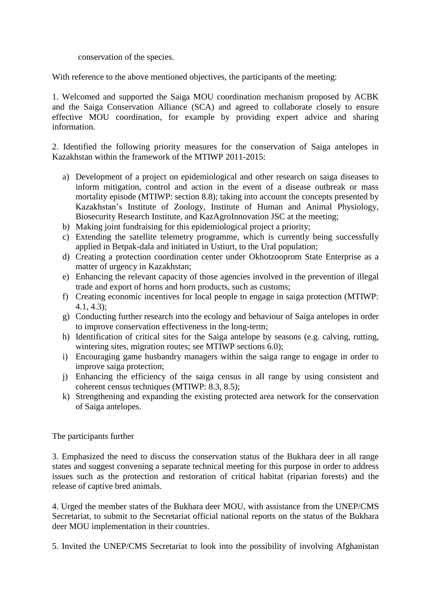conservation of the species.

With reference to the above mentioned objectives, the participants of the meeting:

1. Welcomed and supported the Saiga MOU coordination mechanism proposed by ACBK and the Saiga Conservation Alliance (SCA) and agreed to collaborate closely to ensure effective MOU coordination, for example by providing expert advice and sharing information.

2. Identified the following priority measures for the conservation of Saiga antelopes in Kazakhstan within the framework of the MTIWP 2011-2015:

- a) Development of a project on epidemiological and other research on saiga diseases to inform mitigation, control and action in the event of a disease outbreak or mass mortality episode (MTIWP: section 8.8); taking into account the concepts presented by Kazakhstan's Institute of Zoology, Institute of Human and Animal Physiology, Biosecurity Research Institute, and KazAgroInnovation JSC at the meeting;
- b) Making joint fundraising for this epidemiological project a priority;
- c) Extending the satellite telemetry programme, which is currently being successfully applied in Betpak-dala and initiated in Ustiurt, to the Ural population;
- d) Creating a protection coordination center under Okhotzooprom State Enterprise as a matter of urgency in Kazakhstan;
- e) Enhancing the relevant capacity of those agencies involved in the prevention of illegal trade and export of horns and horn products, such as customs;
- f) Creating economic incentives for local people to engage in saiga protection (MTIWP: 4.1, 4.3);
- g) Conducting further research into the ecology and behaviour of Saiga antelopes in order to improve conservation effectiveness in the long-term;
- h) Identification of critical sites for the Saiga antelope by seasons (e.g. calving, rutting, wintering sites, migration routes; see MTIWP sections 6.0);
- i) Encouraging game husbandry managers within the saiga range to engage in order to improve saiga protection;
- j) Enhancing the efficiency of the saiga census in all range by using consistent and coherent census techniques (MTIWP: 8.3, 8.5);
- k) Strengthening and expanding the existing protected area network for the conservation of Saiga antelopes.

## The participants further

3. Emphasized the need to discuss the conservation status of the Bukhara deer in all range states and suggest convening a separate technical meeting for this purpose in order to address issues such as the protection and restoration of critical habitat (riparian forests) and the release of captive bred animals.

4. Urged the member states of the Bukhara deer MOU, with assistance from the UNEP/CMS Secretariat, to submit to the Secretariat official national reports on the status of the Bukhara deer MOU implementation in their countries.

5. Invited the UNEP/CMS Secretariat to look into the possibility of involving Afghanistan